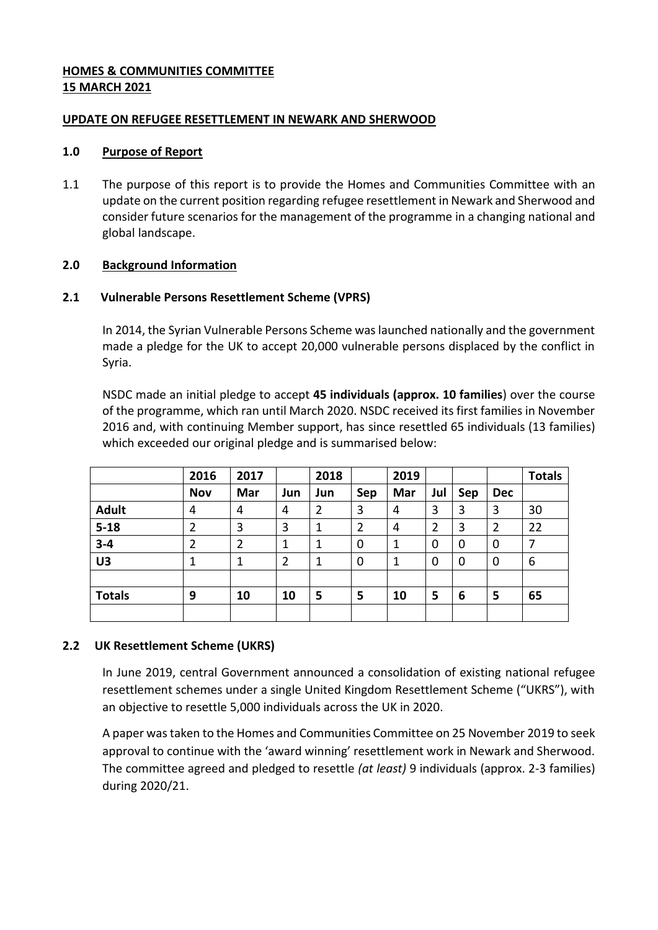## **HOMES & COMMUNITIES COMMITTEE 15 MARCH 2021**

## **UPDATE ON REFUGEE RESETTLEMENT IN NEWARK AND SHERWOOD**

#### **1.0 Purpose of Report**

1.1 The purpose of this report is to provide the Homes and Communities Committee with an update on the current position regarding refugee resettlement in Newark and Sherwood and consider future scenarios for the management of the programme in a changing national and global landscape.

# **2.0 Background Information**

## **2.1 Vulnerable Persons Resettlement Scheme (VPRS)**

In 2014, the Syrian Vulnerable Persons Scheme was launched nationally and the government made a pledge for the UK to accept 20,000 vulnerable persons displaced by the conflict in Syria.

NSDC made an initial pledge to accept **45 individuals (approx. 10 families**) over the course of the programme, which ran until March 2020. NSDC received its first families in November 2016 and, with continuing Member support, has since resettled 65 individuals (13 families) which exceeded our original pledge and is summarised below:

|                | 2016       | 2017           |     | 2018 |                | 2019 |                |             |                | <b>Totals</b> |
|----------------|------------|----------------|-----|------|----------------|------|----------------|-------------|----------------|---------------|
|                | <b>Nov</b> | Mar            | Jun | Jun  | Sep            | Mar  | Jul            | Sep         | <b>Dec</b>     |               |
| <b>Adult</b>   | 4          | 4              | 4   | 2    | 3              | 4    | 3              | 3           | 3              | 30            |
| $5 - 18$       | 2          | 3              | 3   | 1    | $\overline{2}$ | 4    | $\overline{2}$ | 3           | $\overline{2}$ | 22            |
| $3 - 4$        | 2          | $\overline{2}$ | 1   | 1    | $\mathbf 0$    | 1    | 0              | $\mathbf 0$ | 0              | 7             |
| U <sub>3</sub> | 1          | 1              | 2   | 1    | $\mathbf 0$    | 1    | 0              | $\mathbf 0$ | 0              | 6             |
|                |            |                |     |      |                |      |                |             |                |               |
| <b>Totals</b>  | 9          | 10             | 10  | 5    | 5              | 10   | 5              | 6           | 5              | 65            |
|                |            |                |     |      |                |      |                |             |                |               |

# **2.2 UK Resettlement Scheme (UKRS)**

In June 2019, central Government announced a consolidation of existing national refugee resettlement schemes under a single United Kingdom Resettlement Scheme ("UKRS"), with an objective to resettle 5,000 individuals across the UK in 2020.

A paper was taken to the Homes and Communities Committee on 25 November 2019 to seek approval to continue with the 'award winning' resettlement work in Newark and Sherwood. The committee agreed and pledged to resettle *(at least)* 9 individuals (approx. 2-3 families) during 2020/21.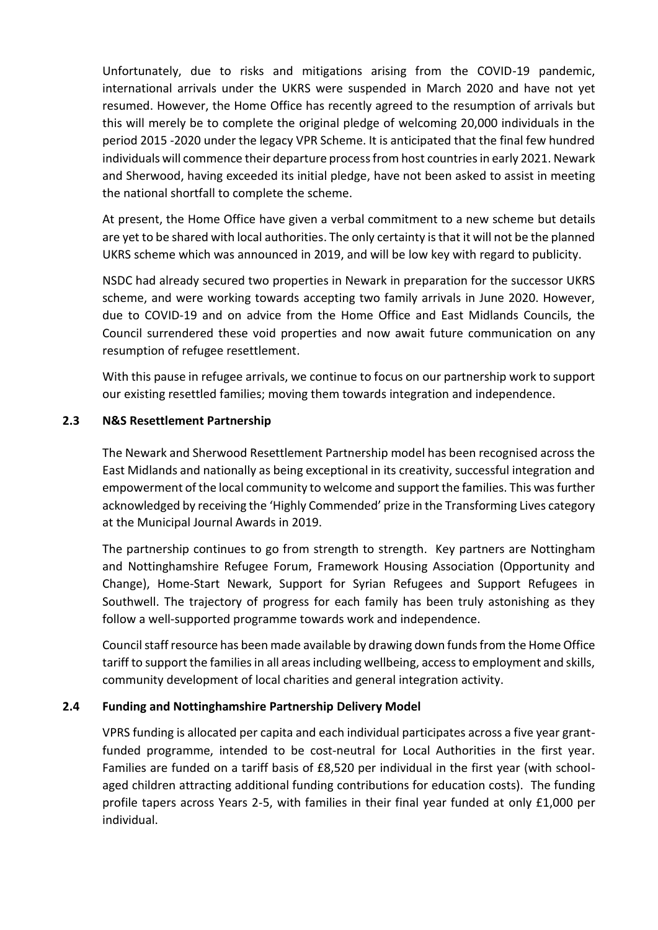Unfortunately, due to risks and mitigations arising from the COVID-19 pandemic, international arrivals under the UKRS were suspended in March 2020 and have not yet resumed. However, the Home Office has recently agreed to the resumption of arrivals but this will merely be to complete the original pledge of welcoming 20,000 individuals in the period 2015 -2020 under the legacy VPR Scheme. It is anticipated that the final few hundred individuals will commence their departure process from host countries in early 2021. Newark and Sherwood, having exceeded its initial pledge, have not been asked to assist in meeting the national shortfall to complete the scheme.

At present, the Home Office have given a verbal commitment to a new scheme but details are yet to be shared with local authorities. The only certainty is that it will not be the planned UKRS scheme which was announced in 2019, and will be low key with regard to publicity.

NSDC had already secured two properties in Newark in preparation for the successor UKRS scheme, and were working towards accepting two family arrivals in June 2020. However, due to COVID-19 and on advice from the Home Office and East Midlands Councils, the Council surrendered these void properties and now await future communication on any resumption of refugee resettlement.

With this pause in refugee arrivals, we continue to focus on our partnership work to support our existing resettled families; moving them towards integration and independence.

# **2.3 N&S Resettlement Partnership**

The Newark and Sherwood Resettlement Partnership model has been recognised across the East Midlands and nationally as being exceptional in its creativity, successful integration and empowerment of the local community to welcome and support the families. This was further acknowledged by receiving the 'Highly Commended' prize in the Transforming Lives category at the Municipal Journal Awards in 2019.

The partnership continues to go from strength to strength. Key partners are Nottingham and Nottinghamshire Refugee Forum, Framework Housing Association (Opportunity and Change), Home-Start Newark, Support for Syrian Refugees and Support Refugees in Southwell. The trajectory of progress for each family has been truly astonishing as they follow a well-supported programme towards work and independence.

Council staff resource has been made available by drawing down funds from the Home Office tariff to support the families in all areas including wellbeing, access to employment and skills, community development of local charities and general integration activity.

# **2.4 Funding and Nottinghamshire Partnership Delivery Model**

VPRS funding is allocated per capita and each individual participates across a five year grantfunded programme, intended to be cost-neutral for Local Authorities in the first year. Families are funded on a tariff basis of £8,520 per individual in the first year (with schoolaged children attracting additional funding contributions for education costs). The funding profile tapers across Years 2-5, with families in their final year funded at only £1,000 per individual.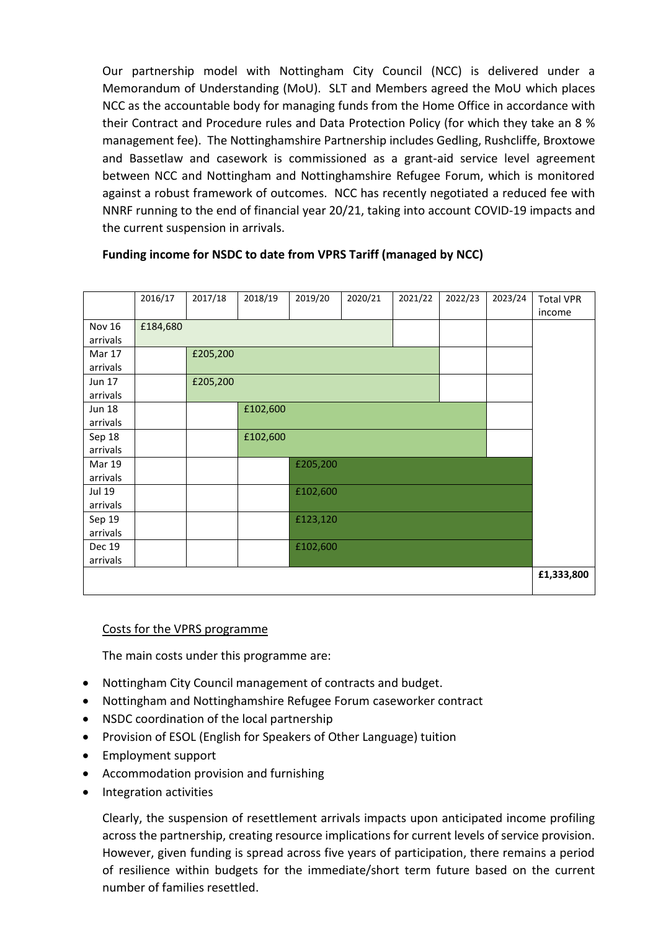Our partnership model with Nottingham City Council (NCC) is delivered under a Memorandum of Understanding (MoU). SLT and Members agreed the MoU which places NCC as the accountable body for managing funds from the Home Office in accordance with their Contract and Procedure rules and Data Protection Policy (for which they take an 8 % management fee). The Nottinghamshire Partnership includes Gedling, Rushcliffe, Broxtowe and Bassetlaw and casework is commissioned as a grant-aid service level agreement between NCC and Nottingham and Nottinghamshire Refugee Forum, which is monitored against a robust framework of outcomes. NCC has recently negotiated a reduced fee with NNRF running to the end of financial year 20/21, taking into account COVID-19 impacts and the current suspension in arrivals.

|               | 2016/17  | 2017/18  | 2018/19  | 2019/20  | 2020/21 | 2021/22 | 2022/23 | 2023/24 | <b>Total VPR</b> |
|---------------|----------|----------|----------|----------|---------|---------|---------|---------|------------------|
|               |          |          |          |          |         |         |         |         | income           |
| <b>Nov 16</b> | £184,680 |          |          |          |         |         |         |         |                  |
| arrivals      |          |          |          |          |         |         |         |         |                  |
| Mar 17        |          | £205,200 |          |          |         |         |         |         |                  |
| arrivals      |          |          |          |          |         |         |         |         |                  |
| Jun 17        |          | £205,200 |          |          |         |         |         |         |                  |
| arrivals      |          |          |          |          |         |         |         |         |                  |
| <b>Jun 18</b> |          |          | £102,600 |          |         |         |         |         |                  |
| arrivals      |          |          |          |          |         |         |         |         |                  |
| Sep 18        |          |          | £102,600 |          |         |         |         |         |                  |
| arrivals      |          |          |          |          |         |         |         |         |                  |
| Mar 19        |          |          |          | £205,200 |         |         |         |         |                  |
| arrivals      |          |          |          |          |         |         |         |         |                  |
| <b>Jul 19</b> |          |          | £102,600 |          |         |         |         |         |                  |
| arrivals      |          |          |          |          |         |         |         |         |                  |
| Sep 19        |          |          |          | £123,120 |         |         |         |         |                  |
| arrivals      |          |          |          |          |         |         |         |         |                  |
| <b>Dec 19</b> |          |          |          | £102,600 |         |         |         |         |                  |
| arrivals      |          |          |          |          |         |         |         |         |                  |
|               |          |          |          |          |         |         |         |         | £1,333,800       |
|               |          |          |          |          |         |         |         |         |                  |

# **Funding income for NSDC to date from VPRS Tariff (managed by NCC)**

#### Costs for the VPRS programme

The main costs under this programme are:

- Nottingham City Council management of contracts and budget.
- Nottingham and Nottinghamshire Refugee Forum caseworker contract
- NSDC coordination of the local partnership
- Provision of ESOL (English for Speakers of Other Language) tuition
- Employment support
- Accommodation provision and furnishing
- Integration activities

Clearly, the suspension of resettlement arrivals impacts upon anticipated income profiling across the partnership, creating resource implications for current levels of service provision. However, given funding is spread across five years of participation, there remains a period of resilience within budgets for the immediate/short term future based on the current number of families resettled.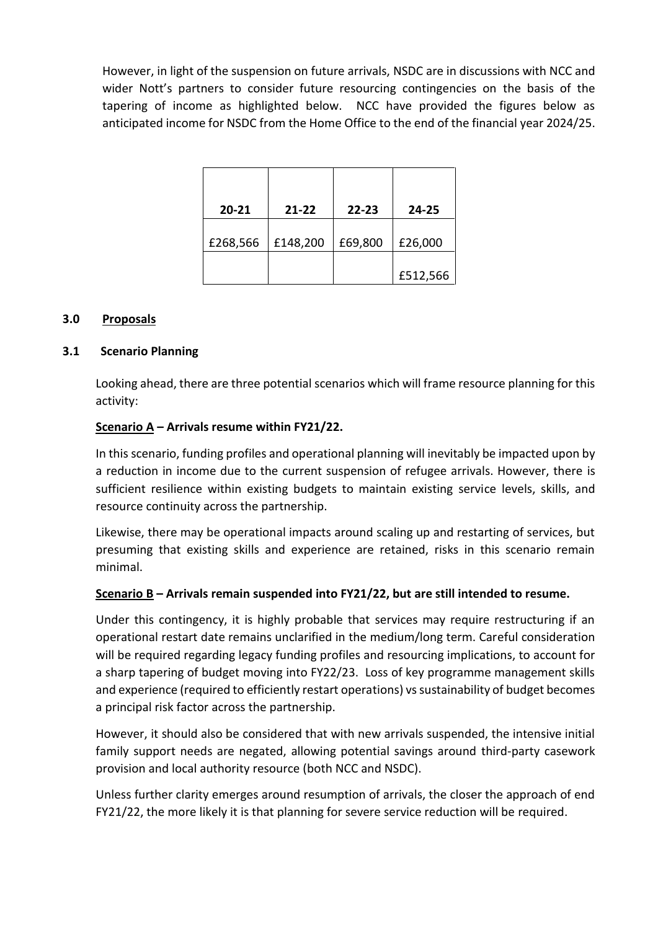However, in light of the suspension on future arrivals, NSDC are in discussions with NCC and wider Nott's partners to consider future resourcing contingencies on the basis of the tapering of income as highlighted below. NCC have provided the figures below as anticipated income for NSDC from the Home Office to the end of the financial year 2024/25.

| $20 - 21$ | $21 - 22$ | $22 - 23$ | 24-25    |
|-----------|-----------|-----------|----------|
| £268,566  | £148,200  | £69,800   | £26,000  |
|           |           |           | £512,566 |

# **3.0 Proposals**

## **3.1 Scenario Planning**

Looking ahead, there are three potential scenarios which will frame resource planning for this activity:

# **Scenario A – Arrivals resume within FY21/22.**

In this scenario, funding profiles and operational planning will inevitably be impacted upon by a reduction in income due to the current suspension of refugee arrivals. However, there is sufficient resilience within existing budgets to maintain existing service levels, skills, and resource continuity across the partnership.

Likewise, there may be operational impacts around scaling up and restarting of services, but presuming that existing skills and experience are retained, risks in this scenario remain minimal.

#### **Scenario B – Arrivals remain suspended into FY21/22, but are still intended to resume.**

Under this contingency, it is highly probable that services may require restructuring if an operational restart date remains unclarified in the medium/long term. Careful consideration will be required regarding legacy funding profiles and resourcing implications, to account for a sharp tapering of budget moving into FY22/23. Loss of key programme management skills and experience (required to efficiently restart operations) vs sustainability of budget becomes a principal risk factor across the partnership.

However, it should also be considered that with new arrivals suspended, the intensive initial family support needs are negated, allowing potential savings around third-party casework provision and local authority resource (both NCC and NSDC).

Unless further clarity emerges around resumption of arrivals, the closer the approach of end FY21/22, the more likely it is that planning for severe service reduction will be required.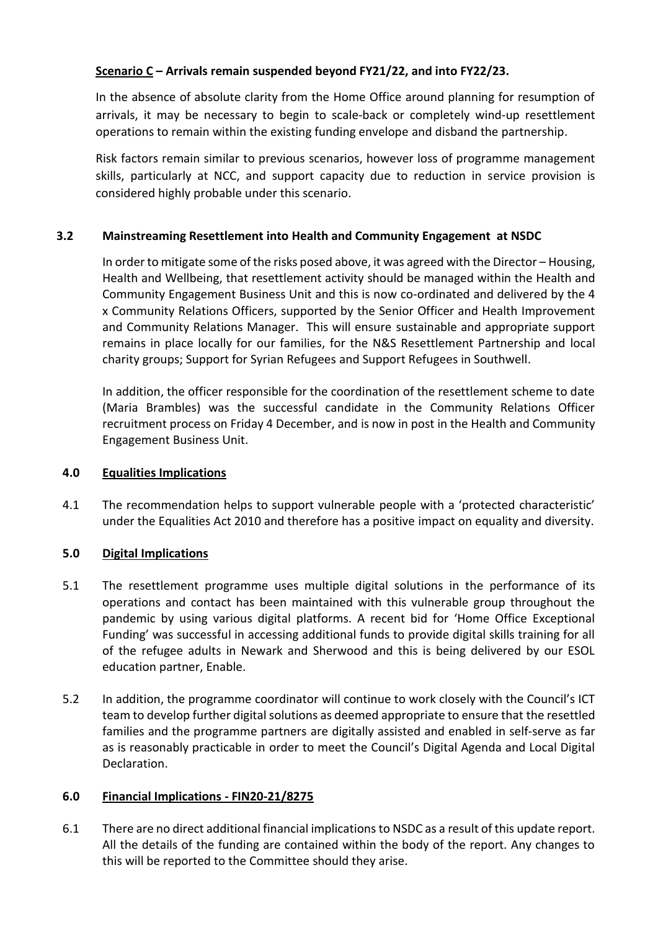# **Scenario C – Arrivals remain suspended beyond FY21/22, and into FY22/23.**

In the absence of absolute clarity from the Home Office around planning for resumption of arrivals, it may be necessary to begin to scale-back or completely wind-up resettlement operations to remain within the existing funding envelope and disband the partnership.

Risk factors remain similar to previous scenarios, however loss of programme management skills, particularly at NCC, and support capacity due to reduction in service provision is considered highly probable under this scenario.

# **3.2 Mainstreaming Resettlement into Health and Community Engagement at NSDC**

In order to mitigate some of the risks posed above, it was agreed with the Director – Housing, Health and Wellbeing, that resettlement activity should be managed within the Health and Community Engagement Business Unit and this is now co-ordinated and delivered by the 4 x Community Relations Officers, supported by the Senior Officer and Health Improvement and Community Relations Manager. This will ensure sustainable and appropriate support remains in place locally for our families, for the N&S Resettlement Partnership and local charity groups; Support for Syrian Refugees and Support Refugees in Southwell.

In addition, the officer responsible for the coordination of the resettlement scheme to date (Maria Brambles) was the successful candidate in the Community Relations Officer recruitment process on Friday 4 December, and is now in post in the Health and Community Engagement Business Unit.

# **4.0 Equalities Implications**

4.1 The recommendation helps to support vulnerable people with a 'protected characteristic' under the Equalities Act 2010 and therefore has a positive impact on equality and diversity.

# **5.0 Digital Implications**

- 5.1 The resettlement programme uses multiple digital solutions in the performance of its operations and contact has been maintained with this vulnerable group throughout the pandemic by using various digital platforms. A recent bid for 'Home Office Exceptional Funding' was successful in accessing additional funds to provide digital skills training for all of the refugee adults in Newark and Sherwood and this is being delivered by our ESOL education partner, Enable.
- 5.2 In addition, the programme coordinator will continue to work closely with the Council's ICT team to develop further digital solutions as deemed appropriate to ensure that the resettled families and the programme partners are digitally assisted and enabled in self-serve as far as is reasonably practicable in order to meet the Council's Digital Agenda and Local Digital Declaration.

# **6.0 Financial Implications - FIN20-21/8275**

6.1 There are no direct additional financial implications to NSDC as a result of this update report. All the details of the funding are contained within the body of the report. Any changes to this will be reported to the Committee should they arise.